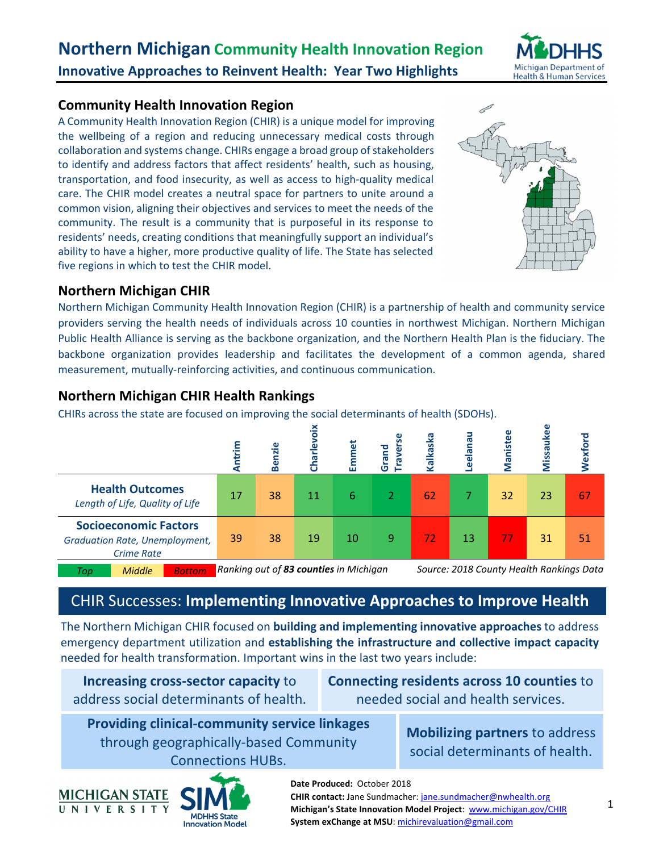

# **Community Health Innovation Region**

A Community Health Innovation Region (CHIR) is a unique model for improving the wellbeing of a region and reducing unnecessary medical costs through collaboration and systems change. CHIRs engage a broad group of stakeholders to identify and address factors that affect residents' health, such as housing, transportation, and food insecurity, as well as access to high‐quality medical care. The CHIR model creates a neutral space for partners to unite around a common vision, aligning their objectives and services to meet the needs of the community. The result is a community that is purposeful in its response to residents' needs, creating conditions that meaningfully support an individual's ability to have a higher, more productive quality of life. The State has selected five regions in which to test the CHIR model.



# **Northern Michigan CHIR**

Northern Michigan Community Health Innovation Region (CHIR) is a partnership of health and community service providers serving the health needs of individuals across 10 counties in northwest Michigan. Northern Michigan Public Health Alliance is serving as the backbone organization, and the Northern Health Plan is the fiduciary. The backbone organization provides leadership and facilitates the development of a common agenda, shared measurement, mutually‐reinforcing activities, and continuous communication.

# **Northern Michigan CHIR Health Rankings**

CHIRs across the state are focused on improving the social determinants of health (SDOHs).

|                                                                                     | Antrim                                                                             | <b>Benzie</b> |    | Emmet | Grand<br>g | kalkaska | Leelana | Manistee | <b>Missar</b> | Wexford |
|-------------------------------------------------------------------------------------|------------------------------------------------------------------------------------|---------------|----|-------|------------|----------|---------|----------|---------------|---------|
| <b>Health Outcomes</b><br>Length of Life, Quality of Life                           | 17                                                                                 | 38            | 11 | 6     | 2          | 62       |         | 32       | 23            | 67      |
| <b>Socioeconomic Factors</b><br>Graduation Rate, Unemployment,<br><b>Crime Rate</b> | 39                                                                                 | 38            | 19 | 10    | 9          | 72       | 13      | 77       | 31            | 51      |
| <b>Middle</b><br><b>Bottom</b><br>Top                                               | Ranking out of 83 counties in Michigan<br>Source: 2018 County Health Rankings Data |               |    |       |            |          |         |          |               |         |

# CHIR Successes: **Implementing Innovative Approaches to Improve Health**

The Northern Michigan CHIR focused on **building and implementing innovative approaches** to address emergency department utilization and **establishing the infrastructure and collective impact capacity**  needed for health transformation. Important wins in the last two years include:

| Increasing cross-sector capacity to    |
|----------------------------------------|
| address social determinants of health. |

**Connecting residents across 10 counties** to needed social and health services.

> **Mobilizing partners** to address social determinants of health.

**Providing clinical‐community service linkages**  through geographically‐based Community Connections HUBs.



**Date Produced:**  October 2018 **CHIR contact:** Jane Sundmacher: jane.sundmacher@nwhealth.org **Michigan's State Innovation Model Project**: www.michigan.gov/CHIR **System exChange at MSU**: michirevaluation@gmail.com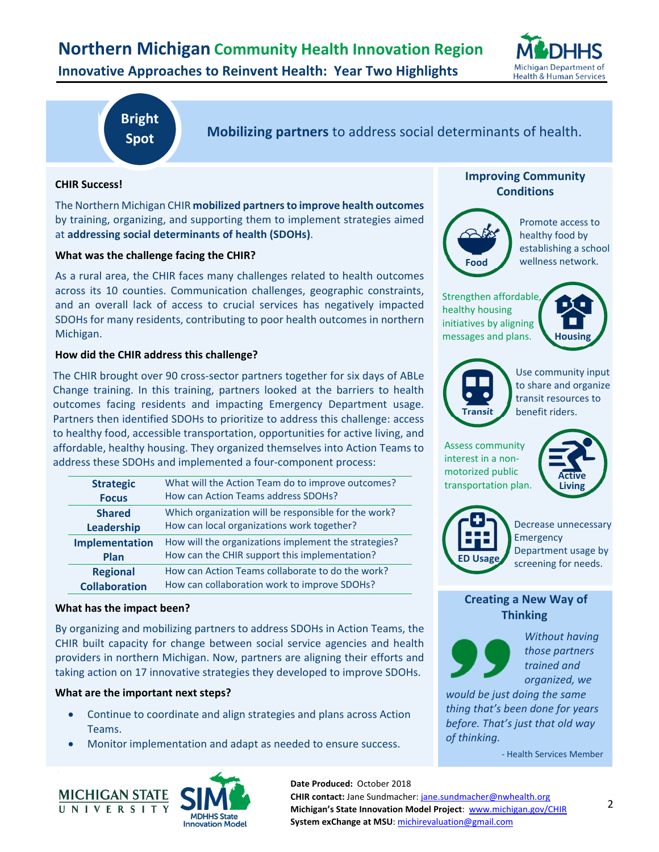

# **Bright Spot**

**Mobilizing partners** to address social determinants of health.

### **CHIR Success!**

The Northern Michigan CHIR **mobilized partners to improve health outcomes**  by training, organizing, and supporting them to implement strategies aimed at **addressing social determinants of health (SDOHs)**.

### **What was the challenge facing the CHIR?**

As a rural area, the CHIR faces many challenges related to health outcomes across its 10 counties. Communication challenges, geographic constraints, and an overall lack of access to crucial services has negatively impacted SDOHs for many residents, contributing to poor health outcomes in northern Michigan.

### **How did the CHIR address this challenge?**

The CHIR brought over 90 cross‐sector partners together for six days of ABLe Change training. In this training, partners looked at the barriers to health outcomes facing residents and impacting Emergency Department usage. Partners then identified SDOHs to prioritize to address this challenge: access to healthy food, accessible transportation, opportunities for active living, and affordable, healthy housing. They organized themselves into Action Teams to address these SDOHs and implemented a four‐component process:

| <b>Strategic</b>     | What will the Action Team do to improve outcomes?    |
|----------------------|------------------------------------------------------|
| <b>Focus</b>         | How can Action Teams address SDOHs?                  |
| <b>Shared</b>        | Which organization will be responsible for the work? |
| Leadership           | How can local organizations work together?           |
| Implementation       | How will the organizations implement the strategies? |
| Plan                 | How can the CHIR support this implementation?        |
| <b>Regional</b>      | How can Action Teams collaborate to do the work?     |
| <b>Collaboration</b> | How can collaboration work to improve SDOHs?         |

### **What has the impact been?**

By organizing and mobilizing partners to address SDOHs in Action Teams, the CHIR built capacity for change between social service agencies and health providers in northern Michigan. Now, partners are aligning their efforts and taking action on 17 innovative strategies they developed to improve SDOHs.

### **What are the important next steps?**

- Continue to coordinate and align strategies and plans across Action Teams.
- Monitor implementation and adapt as needed to ensure success.





### **Improving Community Conditions**



Promote access to healthy food by establishing a school wellness network.

Strengthen affordable, healthy housing initiatives by aligning messages and plans.





Use community input to share and organize transit resources to benefit riders.

Assess community interest in a non‐ motorized public transportation plan.





Decrease unnecessary Emergency Department usage by screening for needs.

### **Creating a New Way of Thinking**



*Without having those partners trained and organized, we* 

*would be just doing the same thing that's been done for years before. That's just that old way of thinking.* 

‐ Health Services Member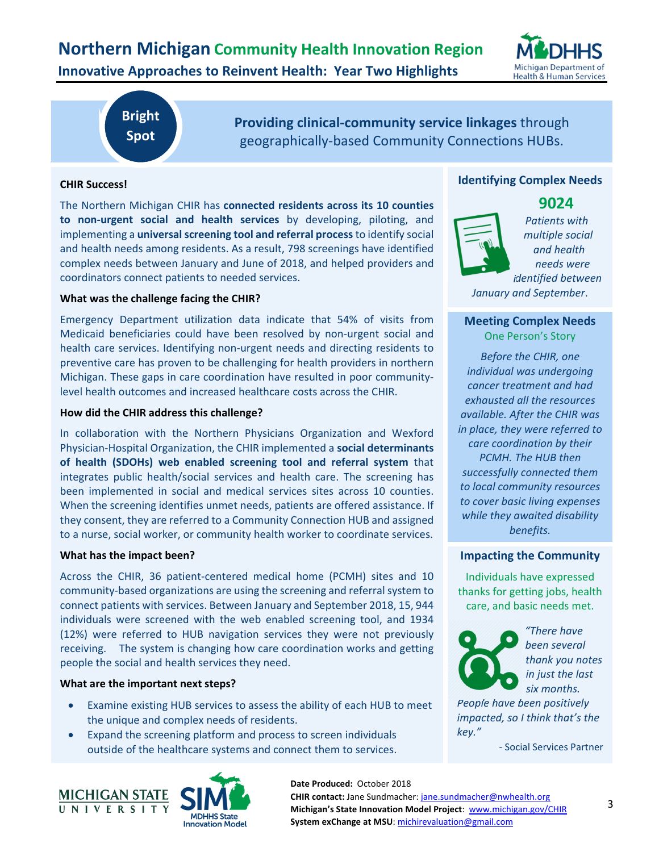# **Northern Michigan Community Health Innovation Region Innovative Approaches to Reinvent Health: Year Two Highlights**



# **Bright Spot**

**Providing clinical‐community service linkages** through geographically‐based Community Connections HUBs.

### **CHIR Success!**

The Northern Michigan CHIR has **connected residents across its 10 counties to non-urgent social and health services** by developing, piloting, and implementing a **universal screening tool and referral process** to identify social and health needs among residents. As a result, 798 screenings have identified complex needs between January and June of 2018, and helped providers and coordinators connect patients to needed services.

### **What was the challenge facing the CHIR?**

Emergency Department utilization data indicate that 54% of visits from Medicaid beneficiaries could have been resolved by non‐urgent social and health care services. Identifying non-urgent needs and directing residents to preventive care has proven to be challenging for health providers in northern Michigan. These gaps in care coordination have resulted in poor community‐ level health outcomes and increased healthcare costs across the CHIR.

### **How did the CHIR address this challenge?**

In collaboration with the Northern Physicians Organization and Wexford Physician‐Hospital Organization, the CHIR implemented a **social determinants of health (SDOHs) web enabled screening tool and referral system** that integrates public health/social services and health care. The screening has been implemented in social and medical services sites across 10 counties. When the screening identifies unmet needs, patients are offered assistance. If they consent, they are referred to a Community Connection HUB and assigned to a nurse, social worker, or community health worker to coordinate services.

#### **What has the impact been?**

Across the CHIR, 36 patient‐centered medical home (PCMH) sites and 10 community‐based organizations are using the screening and referral system to connect patients with services. Between January and September 2018, 15, 944 individuals were screened with the web enabled screening tool, and 1934 (12%) were referred to HUB navigation services they were not previously receiving. The system is changing how care coordination works and getting people the social and health services they need.

### **What are the important next steps?**

- Examine existing HUB services to assess the ability of each HUB to meet the unique and complex needs of residents.
- Expand the screening platform and process to screen individuals outside of the healthcare systems and connect them to services.





### **Identifying Complex Needs**

**9024** 



*Patients with multiple social and health needs were identified between January and September*.

### **Meeting Complex Needs**  One Person's Story

*Before the CHIR, one individual was undergoing cancer treatment and had exhausted all the resources available. After the CHIR was in place, they were referred to care coordination by their PCMH. The HUB then successfully connected them to local community resources to cover basic living expenses while they awaited disability benefits.*

### **Impacting the Community**

Individuals have expressed thanks for getting jobs, health care, and basic needs met.



*"There have been several thank you notes in just the last six months.* 

*People have been positively impacted, so I think that's the* 

‐ Social Services Partner

**Date Produced:**  October 2018 **CHIR contact:** Jane Sundmacher: jane.sundmacher@nwhealth.org **Michigan's State Innovation Model Project**: www.michigan.gov/CHIR **System exChange at MSU**: michirevaluation@gmail.com